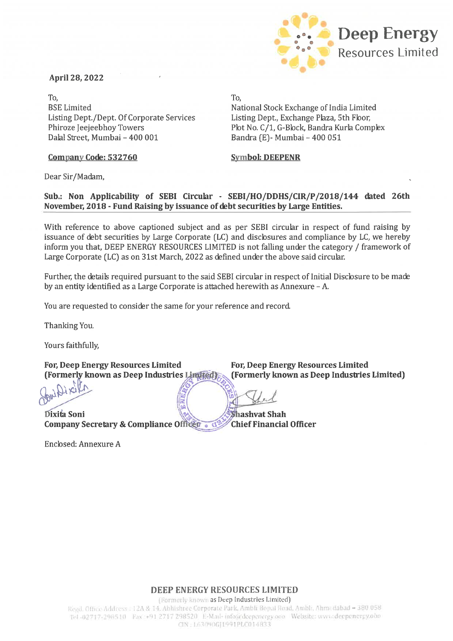## April 28, 2022

**Deep Energy** Resources Limited **.**-**"** . • •

To, BSELimited Listing Dept./Dept. Of Corporate Services Phiroze Jeejeebhoy Towers DalalStreet, Mumbai - 400 001

National Stock Exchange of India Limited Listing Dept., Exchange Plaza, 5th Floor, Plot No. C/1, G-Block, Bandra Kurla Complex Bandra (E) - Mumbai - 400 051

## Company Code: 532760 Symbol: DEEPENR

Dear Sir/Madam,

## Sub.: Non Applicability of SEBI Circular - SEBI/HO/DDHS/CIR/P/2018/144 dated 26th November, 2018 - Fund Raising by issuance of debt securities by Large Entities.

To,

With reference to above captioned subject and as per SEBI circular in respect of fund raising by issuance of debt securities by Large Corporate (LC) and disclosures and compliance by LC, we hereby inform you that, DEEP ENERGY RESOURCES LIMITED is not falling under the category / framework of Large Corporate (LC) as on 31st March, 2022 as defined under the above said circular.

Further, the details required pursuant to the said SEBI circular in respect of Initial Disclosure to be made by an entity identified as a Large Corporate is attached herewith as Annexure - A.

You are requested to consider the same for your reference and record.

Thanking You.

Yours faithfully,

For, Deep Energy Resources Limited<br>(Formerly known as Deep Industries Limited (Formerly known as Deep Industries Limited<br>)

For, Deep Energy Resources Limited For, Deep Energy Reformerly known as Deep Industries Limited (Formerly known a<br>
Consider the Construction of the Construction of the Construction of the Constraint Company Secretary & Com Company Secretary & Compliance Officen  $\bullet$  d<sup>2</sup>

Enclosed:Annexure A

For, Deep Energy Resources Limited<br>
For, Deep Energy Resources Limited<br>
(Formerly known as Deep Industries Limited)

Shashvat Shah<br>Chief Financial Officer

DEEP ENERGY RESOURCES LIMITED

(Formerly known as Deep Industries Limited)

Regd. Office Address : 12A & 14, Abhishree Corporate Park, Ambli Bopal Road, Ambli, Ahmedabad - 380.058 Tel -02717-298510 Fax +91 2717 298520 E-Mail- info@deepenergy.ooo Website: www.deepenergy.ooo CIN: 1.630906J1991PLC014833